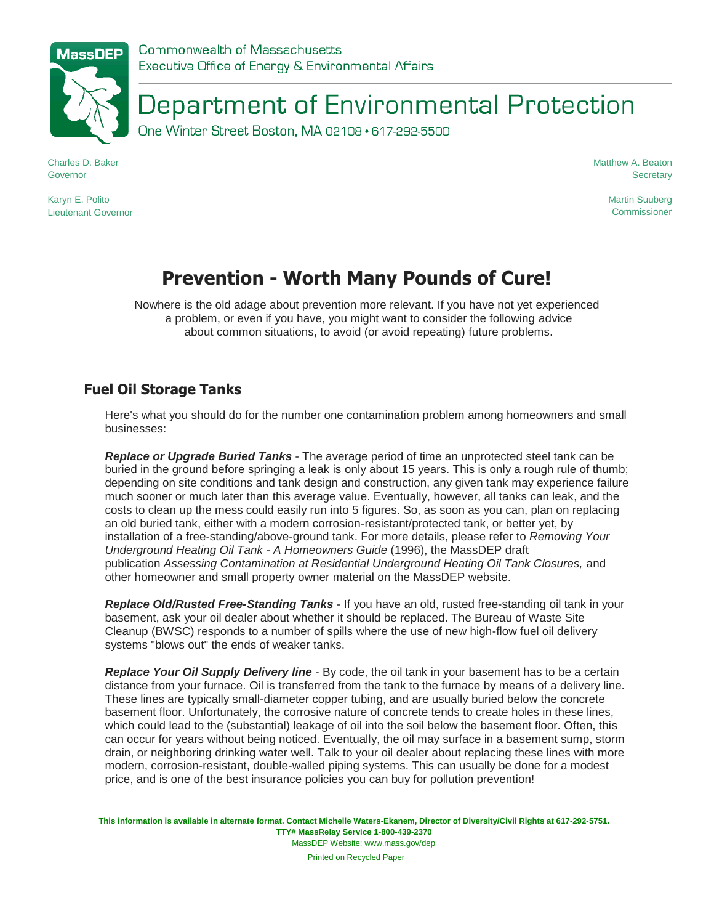# Department of Environmental Protection

One Winter Street Boston, MA 02108 · 617-292-5500

Charles D. Baker Governor

Karyn E. Polito Lieutenant Governor Matthew A. Beaton **Secretary** 

> Martin Suuberg **Commissioner**

## **Prevention - Worth Many Pounds of Cure!**

Nowhere is the old adage about prevention more relevant. If you have not yet experienced a problem, or even if you have, you might want to consider the following advice about common situations, to avoid (or avoid repeating) future problems.

### **Fuel Oil Storage Tanks**

Here's what you should do for the number one contamination problem among homeowners and small businesses:

*Replace or Upgrade Buried Tanks* - The average period of time an unprotected steel tank can be buried in the ground before springing a leak is only about 15 years. This is only a rough rule of thumb; depending on site conditions and tank design and construction, any given tank may experience failure much sooner or much later than this average value. Eventually, however, all tanks can leak, and the costs to clean up the mess could easily run into 5 figures. So, as soon as you can, plan on replacing an old buried tank, either with a modern corrosion-resistant/protected tank, or better yet, by installation of a free-standing/above-ground tank. For more details, please refer to *Removing Your Underground Heating Oil Tank - A Homeowners Guide* (1996), the MassDEP draft publication *Assessing Contamination at Residential Underground Heating Oil Tank Closures,* and other homeowner and small property owner material on the MassDEP website.

*Replace Old/Rusted Free-Standing Tanks* - If you have an old, rusted free-standing oil tank in your basement, ask your oil dealer about whether it should be replaced. The Bureau of Waste Site Cleanup (BWSC) responds to a number of spills where the use of new high-flow fuel oil delivery systems "blows out" the ends of weaker tanks.

*Replace Your Oil Supply Delivery line* - By code, the oil tank in your basement has to be a certain distance from your furnace. Oil is transferred from the tank to the furnace by means of a delivery line. These lines are typically small-diameter copper tubing, and are usually buried below the concrete basement floor. Unfortunately, the corrosive nature of concrete tends to create holes in these lines, which could lead to the (substantial) leakage of oil into the soil below the basement floor. Often, this can occur for years without being noticed. Eventually, the oil may surface in a basement sump, storm drain, or neighboring drinking water well. Talk to your oil dealer about replacing these lines with more modern, corrosion-resistant, double-walled piping systems. This can usually be done for a modest price, and is one of the best insurance policies you can buy for pollution prevention!

**This information is available in alternate format. Contact Michelle Waters-Ekanem, Director of Diversity/Civil Rights at 617-292-5751. TTY# MassRelay Service 1-800-439-2370** MassDEP Website: www.mass.gov/dep

Printed on Recycled Paper